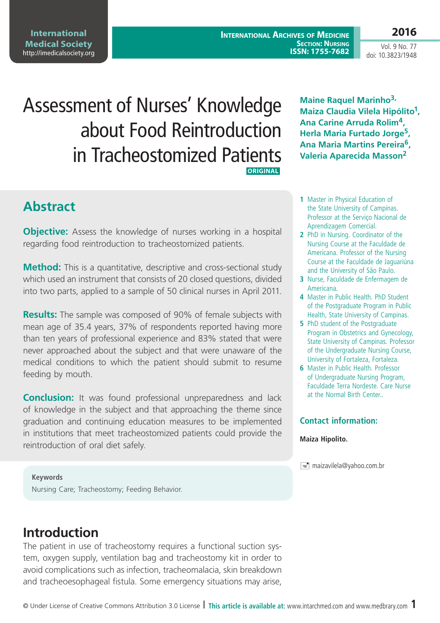**2016**

Vol. 9 No. 77 doi: 10.3823/1948

# Assessment of Nurses' Knowledge about Food Reintroduction in Tracheostomized Patients  **ORIGINAL**

# **Abstract**

**Objective:** Assess the knowledge of nurses working in a hospital regarding food reintroduction to tracheostomized patients.

**Method:** This is a quantitative, descriptive and cross-sectional study which used an instrument that consists of 20 closed questions, divided into two parts, applied to a sample of 50 clinical nurses in April 2011.

**Results:** The sample was composed of 90% of female subjects with mean age of 35.4 years, 37% of respondents reported having more than ten years of professional experience and 83% stated that were never approached about the subject and that were unaware of the medical conditions to which the patient should submit to resume feeding by mouth.

**Conclusion:** It was found professional unpreparedness and lack of knowledge in the subject and that approaching the theme since graduation and continuing education measures to be implemented in institutions that meet tracheostomized patients could provide the reintroduction of oral diet safely.

**Maine Raquel Marinho3, Maiza Claudia Vilela Hipólito1, Ana Carine Arruda Rolim4, Herla Maria Furtado Jorge5, Ana Maria Martins Pereira6, Valeria Aparecida Masson2**

- **1** Master in Physical Education of the State University of Campinas. Professor at the Serviço Nacional de Aprendizagem Comercial.
- **2** PhD in Nursing. Coordinator of the Nursing Course at the Faculdade de Americana. Professor of the Nursing Course at the Faculdade de Jaguariúna and the University of São Paulo.
- **3** Nurse, Faculdade de Enfermagem de Americana.
- **4** Master in Public Health. PhD Student of the Postgraduate Program in Public Health, State University of Campinas.
- **5** PhD student of the Postgraduate Program in Obstetrics and Gynecology, State University of Campinas. Professor of the Undergraduate Nursing Course, University of Fortaleza, Fortaleza.
- **6** Master in Public Health. Professor of Undergraduate Nursing Program, Faculdade Terra Nordeste. Care Nurse at the Normal Birth Center..

#### **Contact information:**

#### **Maiza Hipolito.**

maizavilela@yahoo.com.br

**Keywords** Nursing Care; Tracheostomy; Feeding Behavior.

# **Introduction**

The patient in use of tracheostomy requires a functional suction system, oxygen supply, ventilation bag and tracheostomy kit in order to avoid complications such as infection, tracheomalacia, skin breakdown and tracheoesophageal fistula. Some emergency situations may arise,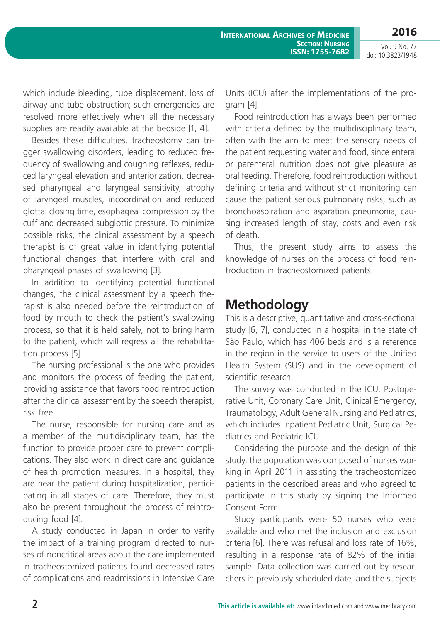Vol. 9 No. 77 doi: 10.3823/1948

**2016**

which include bleeding, tube displacement, loss of airway and tube obstruction; such emergencies are resolved more effectively when all the necessary supplies are readily available at the bedside [1, 4].

Besides these difficulties, tracheostomy can trigger swallowing disorders, leading to reduced frequency of swallowing and coughing reflexes, reduced laryngeal elevation and anteriorization, decreased pharyngeal and laryngeal sensitivity, atrophy of laryngeal muscles, incoordination and reduced glottal closing time, esophageal compression by the cuff and decreased subglottic pressure. To minimize possible risks, the clinical assessment by a speech therapist is of great value in identifying potential functional changes that interfere with oral and pharyngeal phases of swallowing [3].

In addition to identifying potential functional changes, the clinical assessment by a speech therapist is also needed before the reintroduction of food by mouth to check the patient's swallowing process, so that it is held safely, not to bring harm to the patient, which will regress all the rehabilitation process [5].

The nursing professional is the one who provides and monitors the process of feeding the patient, providing assistance that favors food reintroduction after the clinical assessment by the speech therapist, risk free.

The nurse, responsible for nursing care and as a member of the multidisciplinary team, has the function to provide proper care to prevent complications. They also work in direct care and guidance of health promotion measures. In a hospital, they are near the patient during hospitalization, participating in all stages of care. Therefore, they must also be present throughout the process of reintroducing food [4].

A study conducted in Japan in order to verify the impact of a training program directed to nurses of noncritical areas about the care implemented in tracheostomized patients found decreased rates of complications and readmissions in Intensive Care Units (ICU) after the implementations of the program [4].

Food reintroduction has always been performed with criteria defined by the multidisciplinary team, often with the aim to meet the sensory needs of the patient requesting water and food, since enteral or parenteral nutrition does not give pleasure as oral feeding. Therefore, food reintroduction without defining criteria and without strict monitoring can cause the patient serious pulmonary risks, such as bronchoaspiration and aspiration pneumonia, causing increased length of stay, costs and even risk of death.

Thus, the present study aims to assess the knowledge of nurses on the process of food reintroduction in tracheostomized patients.

### **Methodology**

This is a descriptive, quantitative and cross-sectional study [6, 7], conducted in a hospital in the state of São Paulo, which has 406 beds and is a reference in the region in the service to users of the Unified Health System (SUS) and in the development of scientific research.

The survey was conducted in the ICU, Postoperative Unit, Coronary Care Unit, Clinical Emergency, Traumatology, Adult General Nursing and Pediatrics, which includes Inpatient Pediatric Unit, Surgical Pediatrics and Pediatric ICU.

Considering the purpose and the design of this study, the population was composed of nurses working in April 2011 in assisting the tracheostomized patients in the described areas and who agreed to participate in this study by signing the Informed Consent Form.

Study participants were 50 nurses who were available and who met the inclusion and exclusion criteria [6]. There was refusal and loss rate of 16%, resulting in a response rate of 82% of the initial sample. Data collection was carried out by researchers in previously scheduled date, and the subjects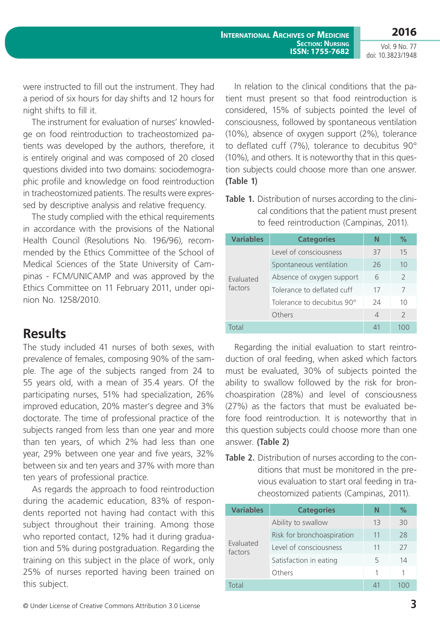Vol. 9 No. 77 doi: 10.3823/1948

were instructed to fill out the instrument. They had a period of six hours for day shifts and 12 hours for night shifts to fill it.

The instrument for evaluation of nurses' knowledge on food reintroduction to tracheostomized patients was developed by the authors, therefore, it is entirely original and was composed of 20 closed questions divided into two domains: sociodemographic profile and knowledge on food reintroduction in tracheostomized patients. The results were expressed by descriptive analysis and relative frequency.

The study complied with the ethical requirements in accordance with the provisions of the National Health Council (Resolutions No. 196/96), recommended by the Ethics Committee of the School of Medical Sciences of the State University of Campinas - FCM/UNICAMP and was approved by the Ethics Committee on 11 February 2011, under opinion No. 1258/2010.

### **Results**

The study included 41 nurses of both sexes, with prevalence of females, composing 90% of the sample. The age of the subjects ranged from 24 to 55 years old, with a mean of 35.4 years. Of the participating nurses, 51% had specialization, 26% improved education, 20% master's degree and 3% doctorate. The time of professional practice of the subjects ranged from less than one year and more than ten years, of which 2% had less than one year, 29% between one year and five years, 32% between six and ten years and 37% with more than ten years of professional practice.

As regards the approach to food reintroduction during the academic education, 83% of respondents reported not having had contact with this subject throughout their training. Among those who reported contact, 12% had it during graduation and 5% during postgraduation. Regarding the training on this subject in the place of work, only 25% of nurses reported having been trained on this subject.

In relation to the clinical conditions that the patient must present so that food reintroduction is considered, 15% of subjects pointed the level of consciousness, followed by spontaneous ventilation (10%), absence of oxygen support (2%), tolerance to deflated cuff (7%), tolerance to decubitus 90° (10%), and others. It is noteworthy that in this question subjects could choose more than one answer. **(Table 1)**

|  | Table 1. Distribution of nurses according to the clini- |
|--|---------------------------------------------------------|
|  | cal conditions that the patient must present            |
|  | to feed reintroduction (Campinas, 2011).                |

| <b>Variables</b> | <b>Categories</b>          | N  | ℅              |
|------------------|----------------------------|----|----------------|
|                  | Level of consciousness     | 37 | 15             |
|                  | Spontaneous ventilation    | 26 | 10             |
| Evaluated        | Absence of oxygen support  | 6  | $\overline{2}$ |
| factors          | Tolerance to deflated cuff | 17 | 7              |
|                  | Tolerance to decubitus 90° | 24 | 10             |
|                  | Others                     | 4  | $\mathcal{L}$  |
| <u>nta</u>       |                            |    |                |

Regarding the initial evaluation to start reintroduction of oral feeding, when asked which factors must be evaluated, 30% of subjects pointed the ability to swallow followed by the risk for bronchoaspiration (28%) and level of consciousness (27%) as the factors that must be evaluated before food reintroduction. It is noteworthy that in this question subjects could choose more than one answer. **(Table 2)**

**Table 2.** Distribution of nurses according to the conditions that must be monitored in the previous evaluation to start oral feeding in tracheostomized patients (Campinas, 2011).

| <b>Variables</b>     | <b>Categories</b>          | N  | ℅   |
|----------------------|----------------------------|----|-----|
|                      | Ability to swallow         | 13 | 30  |
|                      | Risk for bronchoaspiration | 11 | 28  |
| Evaluated<br>factors | Level of consciousness     | 11 | 27  |
|                      | Satisfaction in eating     | 5  | 14  |
|                      | Others                     | 1  | 1   |
| Total                |                            | 41 | 10C |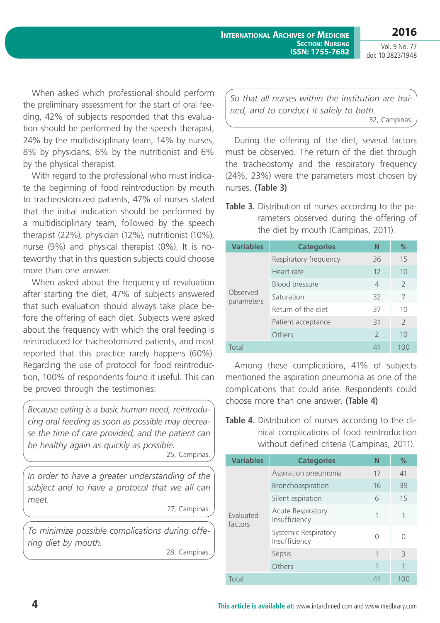Vol. 9 No. 77 doi: 10.3823/1948

**2016**

When asked which professional should perform the preliminary assessment for the start of oral feeding, 42% of subjects responded that this evaluation should be performed by the speech therapist, 24% by the multidisciplinary team, 14% by nurses, 8% by physicians, 6% by the nutritionist and 6% by the physical therapist.

With regard to the professional who must indicate the beginning of food reintroduction by mouth to tracheostomized patients, 47% of nurses stated that the initial indication should be performed by a multidisciplinary team, followed by the speech therapist (22%), physician (12%), nutritionist (10%), nurse (9%) and physical therapist (0%). It is noteworthy that in this question subjects could choose more than one answer.

When asked about the frequency of revaluation after starting the diet, 47% of subjects answered that such evaluation should always take place before the offering of each diet. Subjects were asked about the frequency with which the oral feeding is reintroduced for tracheotomized patients, and most reported that this practice rarely happens (60%). Regarding the use of protocol for food reintroduction, 100% of respondents found it useful. This can be proved through the testimonies:

*Because eating is a basic human need, reintroducing oral feeding as soon as possible may decrease the time of care provided, and the patient can be healthy again as quickly as possible.*

25, Campinas.

*In order to have a greater understanding of the subject and to have a protocol that we all can meet.*

27, Campinas.

*To minimize possible complications during offering diet by mouth.* 28, Campinas.

*So that all nurses within the institution are trained, and to conduct it safely to both.* 32, Campinas.

During the offering of the diet, several factors must be observed. The return of the diet through the tracheostomy and the respiratory frequency (24%, 23%) were the parameters most chosen by nurses. **(Table 3)**

**Table 3.** Distribution of nurses according to the parameters observed during the offering of the diet by mouth (Campinas, 2011).

| <b>Variables</b>       | <b>Categories</b>     | N              | $\%$           |
|------------------------|-----------------------|----------------|----------------|
|                        | Respiratory frequency | 36             | 15             |
|                        | Heart rate            | 12             | 10             |
|                        | <b>Blood pressure</b> | $\overline{4}$ | $\overline{2}$ |
| Observed<br>parameters | Saturation            | 32             | 7              |
|                        | Return of the diet    | 37             | 10             |
|                        | Patient acceptance    | 31             | $\mathcal{P}$  |
|                        | Others                | $\mathcal{P}$  | 10             |
| Total                  |                       | $\Delta$ 1     | 100            |

Among these complications, 41% of subjects mentioned the aspiration pneumonia as one of the complications that could arise. Respondents could choose more than one answer. **(Table 4)**

#### **Table 4.** Distribution of nurses according to the clinical complications of food reintroduction without defined criteria (Campinas, 2011).

| <b>Variables</b>     | <b>Categories</b>                     | N  | $\%$  |
|----------------------|---------------------------------------|----|-------|
|                      | Aspiration pneumonia                  | 17 | 41    |
|                      | Bronchoaspiration                     | 16 | 39    |
|                      | Silent aspiration                     | 6  | 15    |
| Evaluated<br>factors | Acute Respiratory<br>Insufficiency    |    | 1     |
|                      | Systemic Respiratory<br>Insufficiency |    | Ω     |
|                      | Sepsis                                | 1  | 3     |
|                      | Others                                | 1  | 1     |
| Total                |                                       | 41 | 1()() |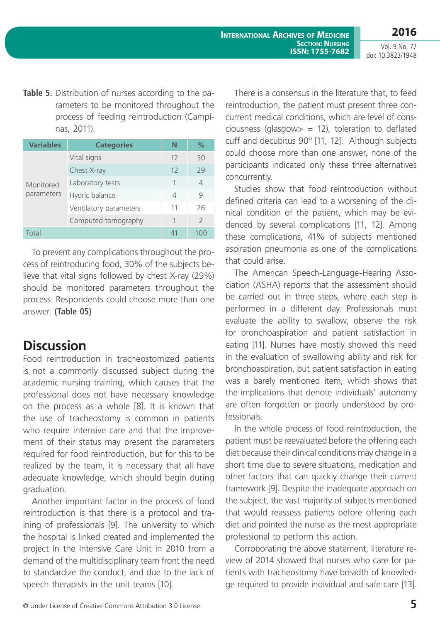**2016**

Vol. 9 No. 77 doi: 10.3823/1948

**Table 5.** Distribution of nurses according to the parameters to be monitored throughout the process of feeding reintroduction (Campinas, 2011).

| <b>Variables</b> | <b>Categories</b>      | Ν  | $\%$           |
|------------------|------------------------|----|----------------|
|                  | Vital signs            | 12 | 30             |
|                  | Chest X-ray            | 12 | 29             |
| Monitored        | Laboratory tests       | 1  | 4              |
| parameters       | Hydric balance         | 4  | 9              |
|                  | Ventilatory parameters | 11 | 26             |
|                  | Computed tomography    |    | $\overline{2}$ |
| Total            |                        |    |                |

To prevent any complications throughout the process of reintroducing food, 30% of the subjects believe that vital signs followed by chest X-ray (29%) should be monitored parameters throughout the process. Respondents could choose more than one answer. **(Table 05)**

### **Discussion**

Food reintroduction in tracheostomized patients is not a commonly discussed subject during the academic nursing training, which causes that the professional does not have necessary knowledge on the process as a whole [8]. It is known that the use of tracheostomy is common in patients who require intensive care and that the improvement of their status may present the parameters required for food reintroduction, but for this to be realized by the team, it is necessary that all have adequate knowledge, which should begin during graduation.

Another important factor in the process of food reintroduction is that there is a protocol and training of professionals [9]. The university to which the hospital is linked created and implemented the project in the Intensive Care Unit in 2010 from a demand of the multidisciplinary team front the need to standardize the conduct, and due to the lack of speech therapists in the unit teams [10].

There is a consensus in the literature that, to feed reintroduction, the patient must present three concurrent medical conditions, which are level of consciousness (glasgow  $= 12$ ), toleration to deflated cuff and decubitus 90º [11, 12]. Although subjects could choose more than one answer, none of the participants indicated only these three alternatives concurrently.

Studies show that food reintroduction without defined criteria can lead to a worsening of the clinical condition of the patient, which may be evidenced by several complications [11, 12]. Among these complications, 41% of subjects mentioned aspiration pneumonia as one of the complications that could arise.

The American Speech-Language-Hearing Association (ASHA) reports that the assessment should be carried out in three steps, where each step is performed in a different day. Professionals must evaluate the ability to swallow, observe the risk for bronchoaspiration and patient satisfaction in eating [11]. Nurses have mostly showed this need in the evaluation of swallowing ability and risk for bronchoaspiration, but patient satisfaction in eating was a barely mentioned item, which shows that the implications that denote individuals' autonomy are often forgotten or poorly understood by professionals.

In the whole process of food reintroduction, the patient must be reevaluated before the offering each diet because their clinical conditions may change in a short time due to severe situations, medication and other factors that can quickly change their current framework [9]. Despite the inadequate approach on the subject, the vast majority of subjects mentioned that would reassess patients before offering each diet and pointed the nurse as the most appropriate professional to perform this action.

Corroborating the above statement, literature review of 2014 showed that nurses who care for patients with tracheostomy have breadth of knowledge required to provide individual and safe care [13].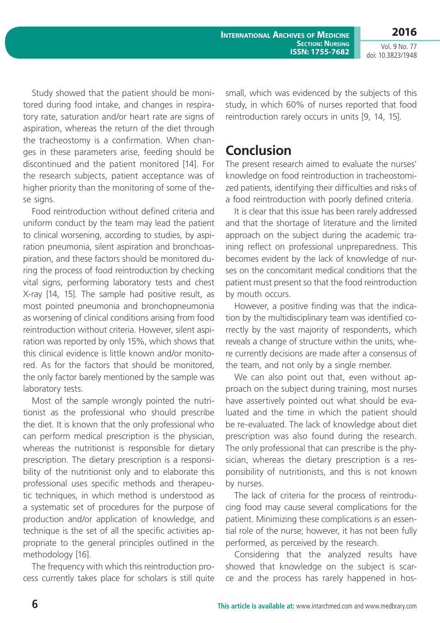**2016**

Vol. 9 No. 77 doi: 10.3823/1948

Study showed that the patient should be monitored during food intake, and changes in respiratory rate, saturation and/or heart rate are signs of aspiration, whereas the return of the diet through the tracheostomy is a confirmation. When changes in these parameters arise, feeding should be discontinued and the patient monitored [14]. For the research subjects, patient acceptance was of higher priority than the monitoring of some of these signs.

Food reintroduction without defined criteria and uniform conduct by the team may lead the patient to clinical worsening, according to studies, by aspiration pneumonia, silent aspiration and bronchoaspiration, and these factors should be monitored during the process of food reintroduction by checking vital signs, performing laboratory tests and chest X-ray [14, 15]. The sample had positive result, as most pointed pneumonia and bronchopneumonia as worsening of clinical conditions arising from food reintroduction without criteria. However, silent aspiration was reported by only 15%, which shows that this clinical evidence is little known and/or monitored. As for the factors that should be monitored, the only factor barely mentioned by the sample was laboratory tests.

Most of the sample wrongly pointed the nutritionist as the professional who should prescribe the diet. It is known that the only professional who can perform medical prescription is the physician, whereas the nutritionist is responsible for dietary prescription. The dietary prescription is a responsibility of the nutritionist only and to elaborate this professional uses specific methods and therapeutic techniques, in which method is understood as a systematic set of procedures for the purpose of production and/or application of knowledge, and technique is the set of all the specific activities appropriate to the general principles outlined in the methodology [16].

The frequency with which this reintroduction process currently takes place for scholars is still quite small, which was evidenced by the subjects of this study, in which 60% of nurses reported that food reintroduction rarely occurs in units [9, 14, 15].

#### **Conclusion**

The present research aimed to evaluate the nurses' knowledge on food reintroduction in tracheostomized patients, identifying their difficulties and risks of a food reintroduction with poorly defined criteria.

It is clear that this issue has been rarely addressed and that the shortage of literature and the limited approach on the subject during the academic training reflect on professional unpreparedness. This becomes evident by the lack of knowledge of nurses on the concomitant medical conditions that the patient must present so that the food reintroduction by mouth occurs.

However, a positive finding was that the indication by the multidisciplinary team was identified correctly by the vast majority of respondents, which reveals a change of structure within the units, where currently decisions are made after a consensus of the team, and not only by a single member.

We can also point out that, even without approach on the subject during training, most nurses have assertively pointed out what should be evaluated and the time in which the patient should be re-evaluated. The lack of knowledge about diet prescription was also found during the research. The only professional that can prescribe is the physician, whereas the dietary prescription is a responsibility of nutritionists, and this is not known by nurses.

The lack of criteria for the process of reintroducing food may cause several complications for the patient. Minimizing these complications is an essential role of the nurse; however, it has not been fully performed, as perceived by the research.

Considering that the analyzed results have showed that knowledge on the subject is scarce and the process has rarely happened in hos-